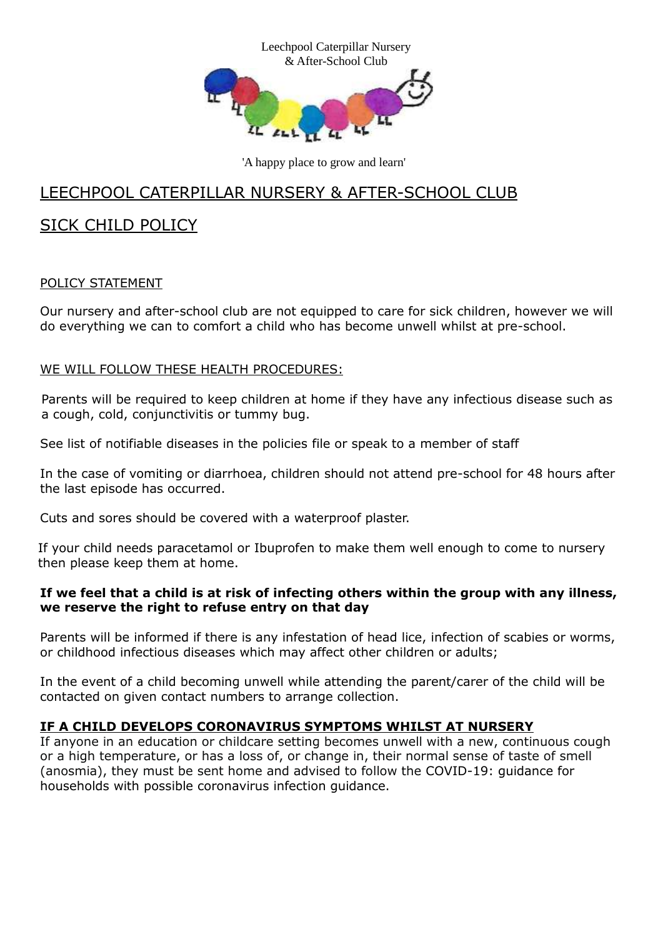

'A happy place to grow and learn'

## LEECHPOOL CATERPILLAR NURSERY & AFTER-SCHOOL CLUB

# SICK CHILD POLICY

#### POLICY STATEMENT

Our nursery and after-school club are not equipped to care for sick children, however we will do everything we can to comfort a child who has become unwell whilst at pre-school.

#### WE WILL FOLLOW THESE HEALTH PROCEDURES:

 Parents will be required to keep children at home if they have any infectious disease such as a cough, cold, conjunctivitis or tummy bug.

See list of notifiable diseases in the policies file or speak to a member of staff

In the case of vomiting or diarrhoea, children should not attend pre-school for 48 hours after the last episode has occurred.

Cuts and sores should be covered with a waterproof plaster.

If your child needs paracetamol or Ibuprofen to make them well enough to come to nursery then please keep them at home.

#### **If we feel that a child is at risk of infecting others within the group with any illness, we reserve the right to refuse entry on that day**

Parents will be informed if there is any infestation of head lice, infection of scabies or worms, or childhood infectious diseases which may affect other children or adults;

In the event of a child becoming unwell while attending the parent/carer of the child will be contacted on given contact numbers to arrange collection.

### **IF A CHILD DEVELOPS CORONAVIRUS SYMPTOMS WHILST AT NURSERY**

If anyone in an education or childcare setting becomes unwell with a new, continuous cough or a high temperature, or has a loss of, or change in, their normal sense of taste of smell (anosmia), they must be sent home and advised to follow the [COVID-19:](https://www.gov.uk/government/publications/covid-19-stay-at-home-guidance) guidance for households with possible [coronavirus](https://www.gov.uk/government/publications/covid-19-stay-at-home-guidance) infection guidance.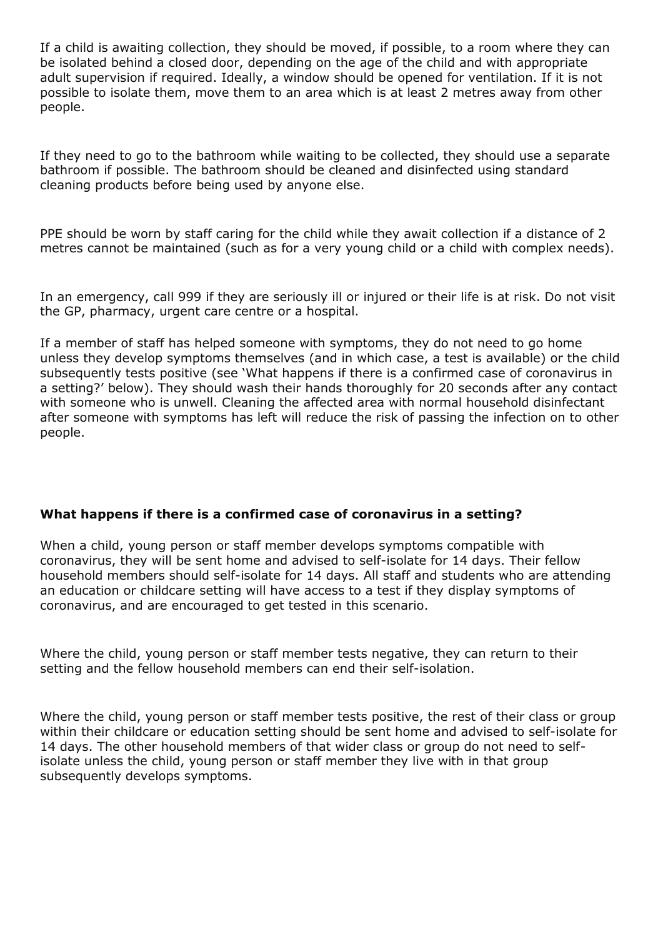If a child is awaiting collection, they should be moved, if possible, to a room where they can be isolated behind a closed door, depending on the age of the child and with appropriate adult supervision if required. Ideally, a window should be opened for ventilation. If it is not possible to isolate them, move them to an area which is at least 2 metres away from other people.

If they need to go to the bathroom while waiting to be collected, they should use a separate bathroom if possible. The bathroom should be cleaned and disinfected using standard cleaning products before being used by anyone else.

PPE should be worn by staff caring for the child while they await collection if a distance of 2 metres cannot be maintained (such as for a very young child or a child with complex needs).

In an emergency, call 999 if they are seriously ill or injured or their life is at risk. Do not visit the GP, pharmacy, urgent care centre or a hospital.

If a member of staff has helped someone with symptoms, they do not need to go home unless they develop symptoms themselves (and in which case, a test is available) or the child subsequently tests positive (see 'What happens if there is a confirmed case of coronavirus in a setting?' below). They should wash their hands thoroughly for 20 seconds after any contact with someone who is unwell. Cleaning the affected area with normal household disinfectant after someone with symptoms has left will reduce the risk of passing the infection on to other people.

#### **What happens if there is a confirmed case of coronavirus in a setting?**

When a child, young person or staff member develops symptoms compatible with coronavirus, they will be sent home and advised to self-isolate for 14 days. Their fellow household members should self-isolate for 14 days. All staff and students who are attending an education or childcare setting will have access to a test if they display symptoms of coronavirus, and are encouraged to get tested in this scenario.

Where the child, young person or staff member tests negative, they can return to their setting and the fellow household members can end their self-isolation.

Where the child, young person or staff member tests positive, the rest of their class or group within their childcare or education setting should be sent home and advised to self-isolate for 14 days. The other household members of that wider class or group do not need to selfisolate unless the child, young person or staff member they live with in that group subsequently develops symptoms.